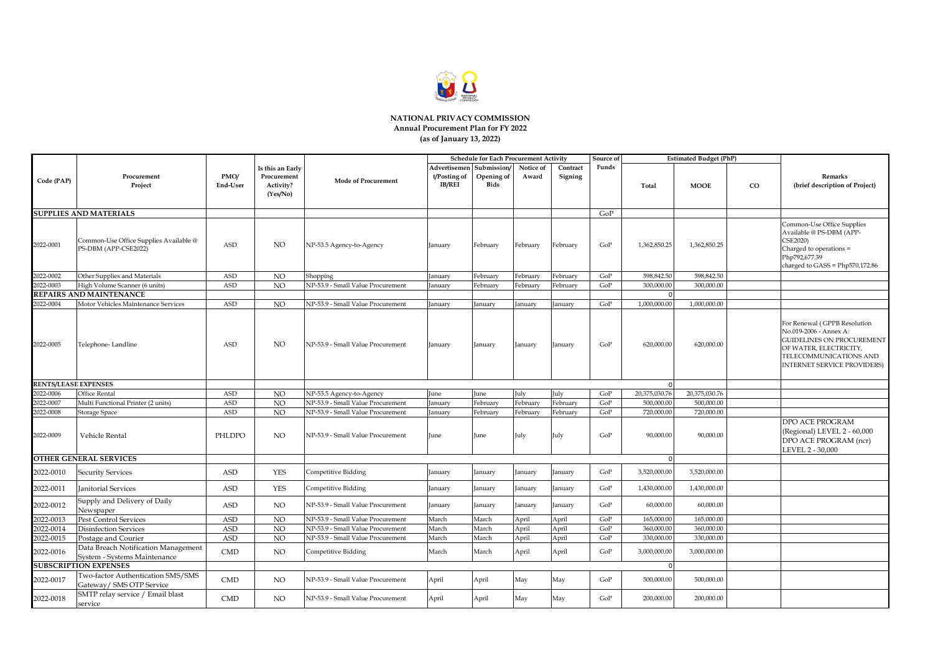

#### **NATIONAL PRIVACY COMMISSION Annual Procurement Plan for FY 2022 (as of January 13, 2022)**

|                             |                                                                     |                  |                                                          |                                   | <b>Schedule for Each Procurement Activity</b><br>Source of |                                          |                    |                     |       |               | <b>Estimated Budget (PhP)</b> |    |                                                                                                                                                                                      |
|-----------------------------|---------------------------------------------------------------------|------------------|----------------------------------------------------------|-----------------------------------|------------------------------------------------------------|------------------------------------------|--------------------|---------------------|-------|---------------|-------------------------------|----|--------------------------------------------------------------------------------------------------------------------------------------------------------------------------------------|
| Code (PAP)                  | Procurement<br>Project                                              | PMO/<br>End-User | Is this an Early<br>Procurement<br>Activity?<br>(Yes/No) | <b>Mode of Procurement</b>        | Advertisemen<br>t/Posting of<br><b>IB/REI</b>              | Submission/<br>Opening of<br><b>Bids</b> | Notice of<br>Award | Contract<br>Signing | Funds | Total         | <b>MOOE</b>                   | CO | Remarks<br>(brief description of Project)                                                                                                                                            |
|                             | <b>SUPPLIES AND MATERIALS</b>                                       |                  |                                                          |                                   |                                                            |                                          |                    |                     | GoP   |               |                               |    |                                                                                                                                                                                      |
| 2022-0001                   | Common-Use Office Supplies Available @<br>PS-DBM (APP-CSE2022)      | <b>ASD</b>       | NO.                                                      | NP-53.5 Agency-to-Agency          | January                                                    | Februarv                                 | February           | February            | GoP   | 1,362,850.25  | 1,362,850.25                  |    | Common-Use Office Supplies<br>Available @ PS-DBM (APP-<br>CSE2020)<br>Charged to operations =<br>Php792,677.39<br>charged to GASS = Php570,172.86                                    |
| 2022-0002                   | Other Supplies and Materials                                        | ASD              | NO                                                       | Shopping                          | January                                                    | Februarv                                 | Februarv           | Februarv            | GoP   | 598,842.50    | 598,842.50                    |    |                                                                                                                                                                                      |
| 2022-0003                   | High Volume Scanner (6 units)                                       | <b>ASD</b>       | NO                                                       | NP-53.9 - Small Value Procurement | January                                                    | February                                 | Februarv           | February            | GoP   | 300,000.00    | 300,000.00                    |    |                                                                                                                                                                                      |
|                             | <b>REPAIRS AND MAINTENANCE</b>                                      |                  |                                                          |                                   |                                                            |                                          |                    |                     |       |               |                               |    |                                                                                                                                                                                      |
| 2022-0004                   | Motor Vehicles Maintenance Services                                 | <b>ASD</b>       | NO                                                       | NP-53.9 - Small Value Procurement | <b>January</b>                                             | January                                  | anuarv             | January             | GoP   | 1.000.000.00  | 1,000,000.00                  |    |                                                                                                                                                                                      |
| 2022-0005                   | Telephone-Landline                                                  | <b>ASD</b>       | NO.                                                      | NP-53.9 - Small Value Procurement | January                                                    | January                                  | January            | January             | GoP   | 620,000.00    | 620,000.00                    |    | For Renewal (GPPB Resolution<br>No.019-2006 - Annex A:<br><b>GUIDELINES ON PROCUREMENT</b><br>OF WATER, ELECTRICITY,<br>TELECOMMUNICATIONS AND<br><b>INTERNET SERVICE PROVIDERS)</b> |
| <b>RENTS/LEASE EXPENSES</b> |                                                                     |                  |                                                          |                                   |                                                            |                                          |                    |                     |       |               |                               |    |                                                                                                                                                                                      |
| 2022-0006                   | Office Rental                                                       | <b>ASD</b>       | <b>NO</b>                                                | NP-53.5 Agency-to-Agency          | June                                                       | June                                     | July               | July                | GoP   | 20,375,030.76 | 20,375,030.76                 |    |                                                                                                                                                                                      |
| 2022-0007                   | Multi Functional Printer (2 units)                                  | <b>ASD</b>       | <b>NO</b>                                                | NP-53.9 - Small Value Procurement | <b>January</b>                                             | February                                 | February           | February            | GoP   | 500,000.00    | 500,000,00                    |    |                                                                                                                                                                                      |
| 2022-0008                   | Storage Space                                                       | <b>ASD</b>       | NO.                                                      | NP-53.9 - Small Value Procurement | January                                                    | Februarv                                 | Februarv           | February            | GoP   | 720,000.00    | 720,000.00                    |    |                                                                                                                                                                                      |
| 2022-0009                   | Vehicle Rental                                                      | PHLDPO           | NO                                                       | NP-53.9 - Small Value Procurement | June                                                       | June                                     | July               | July                | GoP   | 90,000.00     | 90,000.00                     |    | <b>DPO ACE PROGRAM</b><br>(Regional) LEVEL 2 - 60,000<br>DPO ACE PROGRAM (ncr)<br>LEVEL 2 - 30,000                                                                                   |
|                             | <b>OTHER GENERAL SERVICES</b>                                       |                  |                                                          |                                   |                                                            |                                          |                    |                     |       |               |                               |    |                                                                                                                                                                                      |
| 2022-0010                   | <b>Security Services</b>                                            | <b>ASD</b>       | <b>YES</b>                                               | Competitive Bidding               | January                                                    | January                                  | anuary             | January             | GoP   | 3,520,000.00  | 3,520,000.00                  |    |                                                                                                                                                                                      |
| 2022-0011                   | <b>Janitorial Services</b>                                          | <b>ASD</b>       | <b>YES</b>                                               | Competitive Bidding               | January                                                    | January                                  | anuary             | anuary]             | GoP   | 1,430,000.00  | 1,430,000.00                  |    |                                                                                                                                                                                      |
| 2022-0012                   | Supply and Delivery of Daily<br>Newspaper                           | <b>ASD</b>       | NO.                                                      | NP-53.9 - Small Value Procurement | January                                                    | January                                  | anuary             | January             | GoP   | 60,000.00     | 60,000.00                     |    |                                                                                                                                                                                      |
| 2022-0013                   | <b>Pest Control Services</b>                                        | <b>ASD</b>       | NO                                                       | NP-53.9 - Small Value Procurement | March                                                      | March                                    | April              | April               | GoP   | 165,000.00    | 165,000.00                    |    |                                                                                                                                                                                      |
| 2022-0014                   | Disinfection Services                                               | <b>ASD</b>       | NO                                                       | NP-53.9 - Small Value Procurement | March                                                      | March                                    | April              | April               | GoP   | 360,000.00    | 360,000.00                    |    |                                                                                                                                                                                      |
| 2022-0015                   | Postage and Courier                                                 | <b>ASD</b>       | NO                                                       | NP-53.9 - Small Value Procurement | March                                                      | March                                    | April              | April               | GoP   | 330,000.00    | 330,000.00                    |    |                                                                                                                                                                                      |
| 2022-0016                   | Data Breach Notification Management<br>System - Systems Maintenance | <b>CMD</b>       | NO                                                       | Competitive Bidding               | March                                                      | March                                    | April              | April               | GoP   | 3,000,000.00  | 3,000,000.00                  |    |                                                                                                                                                                                      |
|                             | <b>SUBSCRIPTION EXPENSES</b>                                        |                  |                                                          |                                   |                                                            |                                          |                    |                     |       |               |                               |    |                                                                                                                                                                                      |
| 2022-0017                   | Two-factor Authentication SMS/SMS<br>Gateway/ SMS OTP Service       | <b>CMD</b>       | NO                                                       | NP-53.9 - Small Value Procurement | April                                                      | April                                    | May                | May                 | GoP   | 500,000.00    | 500,000.00                    |    |                                                                                                                                                                                      |
| 2022-0018                   | SMTP relay service / Email blast<br>service                         | <b>CMD</b>       | NO.                                                      | NP-53.9 - Small Value Procurement | April                                                      | April                                    | May                | May                 | GoP   | 200,000.00    | 200,000.00                    |    |                                                                                                                                                                                      |
|                             |                                                                     |                  |                                                          |                                   |                                                            |                                          |                    |                     |       |               |                               |    |                                                                                                                                                                                      |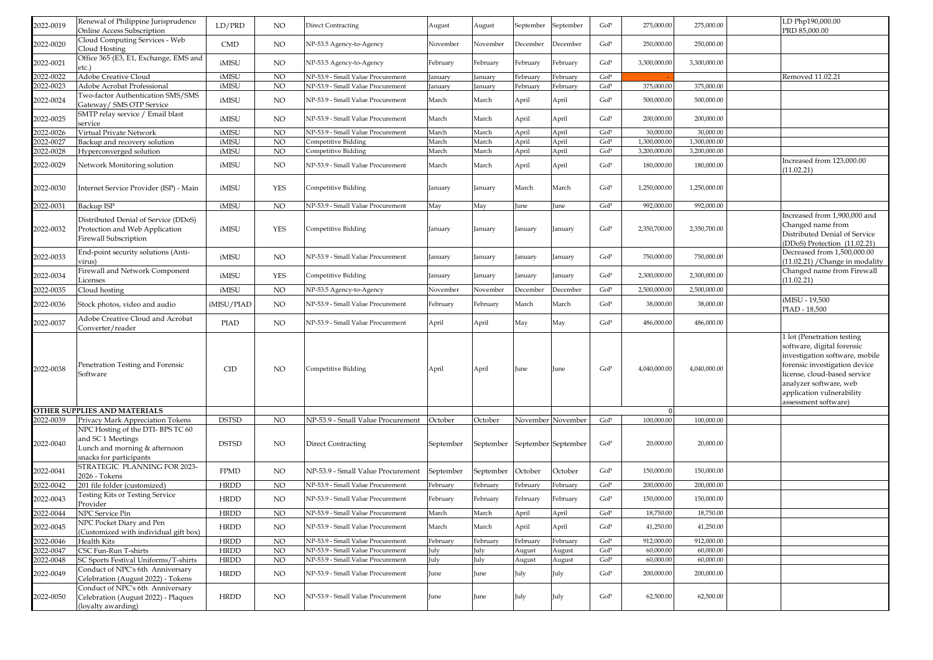| 2022-0019 | Renewal of Philippine Jurisprudence<br>Online Access Subscription                                                | LD/PRD          | NO              | <b>Direct Contracting</b>         | August    | August    | September | September           | GoP       | 275,000.00   | 275,000.00   | LD Php190,000.00<br>PRD 85,000.00                                                                                                                                                                                                        |
|-----------|------------------------------------------------------------------------------------------------------------------|-----------------|-----------------|-----------------------------------|-----------|-----------|-----------|---------------------|-----------|--------------|--------------|------------------------------------------------------------------------------------------------------------------------------------------------------------------------------------------------------------------------------------------|
| 2022-0020 | Cloud Computing Services - Web<br>Cloud Hosting                                                                  | <b>CMD</b>      | NO              | NP-53.5 Agency-to-Agency          | November  | November  | December  | December            | GoP       | 250,000.00   | 250,000.00   |                                                                                                                                                                                                                                          |
| 2022-0021 | Office 365 (E3, E1, Exchange, EMS and<br>etc.                                                                    | iMISU           | NO              | NP-53.5 Agency-to-Agency          | February  | ebruary   | February  | February            | GoP       | 3,300,000.00 | 3,300,000.00 |                                                                                                                                                                                                                                          |
| 2022-0022 | Adobe Creative Cloud                                                                                             | iMISU           | NO              | NP-53.9 - Small Value Procurement | January   | anuary    | February  | February            | GoP       |              |              | Removed 11.02.21                                                                                                                                                                                                                         |
| 2022-0023 | Adobe Acrobat Professional                                                                                       | iMISU           | NO              | NP-53.9 - Small Value Procurement | anuary    | anuary    | February  | February            | GoP       | 375,000.00   | 375,000.00   |                                                                                                                                                                                                                                          |
| 2022-0024 | Two-factor Authentication SMS/SMS<br>Gateway/ SMS OTP Service                                                    | iMISU           | NO              | NP-53.9 - Small Value Procurement | March     | March     | April     | April               | GoP       | 500,000.00   | 500,000.00   |                                                                                                                                                                                                                                          |
| 2022-0025 | SMTP relay service / Email blast<br>service                                                                      | iMISU           | NO              | NP-53.9 - Small Value Procurement | March     | March     | April     | April               | GoP       | 200,000.00   | 200,000.00   |                                                                                                                                                                                                                                          |
| 2022-0026 | Virtual Private Network                                                                                          | iMISU           | NO <sub>1</sub> | NP-53.9 - Small Value Procurement | March     | March     | April     | April               | GoP       | 30,000.00    | 30,000.00    |                                                                                                                                                                                                                                          |
| 2022-0027 | Backup and recovery solution                                                                                     | iMISU           | NO              | Competitive Bidding               | March     | March     | April     | April               | GoP       | 1,300,000.00 | 1,300,000.00 |                                                                                                                                                                                                                                          |
| 2022-0028 | Hyperconverged solution                                                                                          | iMISU           | NO              | Competitive Bidding               | March     | March     | April     | April               | GoP       | 3,200,000.00 | 3,200,000.00 |                                                                                                                                                                                                                                          |
| 2022-0029 | Network Monitoring solution                                                                                      | iMISU           | NO              | NP-53.9 - Small Value Procurement | March     | March     | April     | April               | GoP       | 180,000.00   | 180,000.00   | Increased from 123,000.00<br>(11.02.21)                                                                                                                                                                                                  |
| 2022-0030 | Internet Service Provider (ISP) - Main                                                                           | iMISU           | <b>YES</b>      | Competitive Bidding               | January   | anuary    | March     | March               | GoP       | 1,250,000.00 | 1,250,000.00 |                                                                                                                                                                                                                                          |
| 2022-0031 | Backup ISP                                                                                                       | iMISU           | NO              | NP-53.9 - Small Value Procurement | May       | May       | June      | June                | GoP       | 992,000.00   | 992,000.00   |                                                                                                                                                                                                                                          |
| 2022-0032 | Distributed Denial of Service (DDoS)<br>Protection and Web Application<br>Firewall Subscription                  | iMISU           | YES             | Competitive Bidding               | January   | anuary    | January   | anuary              | GoP       | 2,350,700.00 | 2,350,700.00 | Increased from 1,900,000 and<br>Changed name from<br>Distributed Denial of Service<br>DDoS) Protection (11.02.21)                                                                                                                        |
| 2022-0033 | End-point security solutions (Anti-<br>virus)                                                                    | iMISU           | NO              | NP-53.9 - Small Value Procurement | January   | January   | anuary    | anuary              | GoP       | 750,000.00   | 750,000.00   | Decreased from 1,500,000.00<br>(11.02.21) / Change in modality                                                                                                                                                                           |
| 2022-0034 | Firewall and Network Component<br>Licenses                                                                       | iMISU           | YES             | Competitive Bidding               | January   | anuary    | anuary    | anuary              | GoP       | 2,300,000.00 | 2,300,000.00 | Changed name from Firewall<br>(11.02.21)                                                                                                                                                                                                 |
| 2022-0035 | Cloud hosting                                                                                                    | iMISU           | NO              | NP-53.5 Agency-to-Agency          | November  | November  | December  | December            | GoP       | 2,500,000.00 | 2,500,000.00 |                                                                                                                                                                                                                                          |
| 2022-0036 | Stock photos, video and audio                                                                                    | iMISU/PIAD      | <b>NO</b>       | NP-53.9 - Small Value Procurement | February  | February  | March     | March               | GoP       | 38,000.00    | 38,000.00    | MISU - 19,500<br>PIAD - 18,500                                                                                                                                                                                                           |
| 2022-0037 | Adobe Creative Cloud and Acrobat<br>Converter/reader                                                             | <b>PIAD</b>     | NO              | NP-53.9 - Small Value Procurement | April     | April     | May       | May                 | GoP       | 486,000.00   | 486,000.00   |                                                                                                                                                                                                                                          |
| 2022-0038 | Penetration Testing and Forensic<br>Software                                                                     | CID             | NO.             | Competitive Bidding               | April     | April     | June      | June                | GoP       | 4,040,000.00 | 4,040,000.00 | 1 lot (Penetration testing<br>software, digital forensic<br>investigation software, mobile<br>orensic investigation device<br>icense, cloud-based service<br>analyzer software, web<br>application vulnerability<br>assessment software) |
|           | OTHER SUPPLIES AND MATERIALS                                                                                     |                 |                 |                                   |           |           |           |                     |           |              |              |                                                                                                                                                                                                                                          |
| 2022-0039 | Privacy Mark Appreciation Tokens                                                                                 | <b>DSTSD</b>    | NO <sub>1</sub> | NP-53.9 - Small Value Procurement | October   | October   |           | November November   | GoP       | 100,000.00   | 100,000.00   |                                                                                                                                                                                                                                          |
| 2022-0040 | NPC Hosting of the DTI-BPS TC 60<br>and SC1 Meetings<br>Lunch and morning & afternoon<br>snacks for participants | <b>DSTSD</b>    | NO              | <b>Direct Contracting</b>         | September | September |           | September September | GoP       | 20,000.00    | 20,000.00    |                                                                                                                                                                                                                                          |
| 2022-0041 | STRATEGIC PLANNING FOR 2023-<br>2026 - Tokens                                                                    | <b>FPMD</b>     | NO              | NP-53.9 - Small Value Procurement | September | September | October   | October             | GoP       | 150,000.00   | 150,000.00   |                                                                                                                                                                                                                                          |
| 2022-0042 | 201 file folder (customized)                                                                                     | <b>HRDD</b>     | NO <sub>1</sub> | NP-53.9 - Small Value Procurement | February  | February  | February  | ebruary             | GoP       | 200,000.00   | 200,000.00   |                                                                                                                                                                                                                                          |
| 2022-0043 | Testing Kits or Testing Service<br>Provider                                                                      | <b>HRDD</b>     | NO              | NP-53.9 - Small Value Procurement | February  | February  | February  | February            | GoP       | 150,000.00   | 150,000.00   |                                                                                                                                                                                                                                          |
| 2022-0044 | NPC Service Pin                                                                                                  | ${\hbox{HRDD}}$ | NO              | NP-53.9 - Small Value Procurement | March     | March     | April     | April               | GoP       | 18,750.00    | 18,750.00    |                                                                                                                                                                                                                                          |
| 2022-0045 | NPC Pocket Diary and Pen<br>(Customized with individual gift box)                                                | <b>HRDD</b>     | NO              | NP-53.9 - Small Value Procurement | March     | March     | April     | April               | GoP       | 41,250.00    | 41,250.00    |                                                                                                                                                                                                                                          |
| 2022-0046 | Health Kits                                                                                                      | <b>HRDD</b>     | NO <sub>1</sub> | NP-53.9 - Small Value Procurement | February  | February  | February  | February            | GoP       | 912,000.00   | 912,000.00   |                                                                                                                                                                                                                                          |
| 2022-0047 | CSC Fun-Run T-shirts                                                                                             | <b>HRDD</b>     | NO              | NP-53.9 - Small Value Procurement | July      | July      | August    | August              | GoP       | 60,000.00    | 60,000.00    |                                                                                                                                                                                                                                          |
| 2022-0048 | SC Sports Festival Uniforms/T-shirts                                                                             | <b>HRDD</b>     | NO              | NP-53.9 - Small Value Procurement | July      | July      | August    | August              | $\rm GoP$ | 60,000.00    | 60,000.00    |                                                                                                                                                                                                                                          |
| 2022-0049 | Conduct of NPC's 6th Anniversary<br>Celebration (August 2022) - Tokens                                           | <b>HRDD</b>     | $_{\rm NO}$     | NP-53.9 - Small Value Procurement | June      | June      | July      | July                | GoP       | 200,000.00   | 200,000.00   |                                                                                                                                                                                                                                          |
| 2022-0050 | Conduct of NPC's 6th Anniversary<br>Celebration (August 2022) - Plaques<br>(loyalty awarding)                    | <b>HRDD</b>     | <b>NO</b>       | NP-53.9 - Small Value Procurement | June      | June      | July      | July                | $\rm GoP$ | 62,500.00    | 62,500.00    |                                                                                                                                                                                                                                          |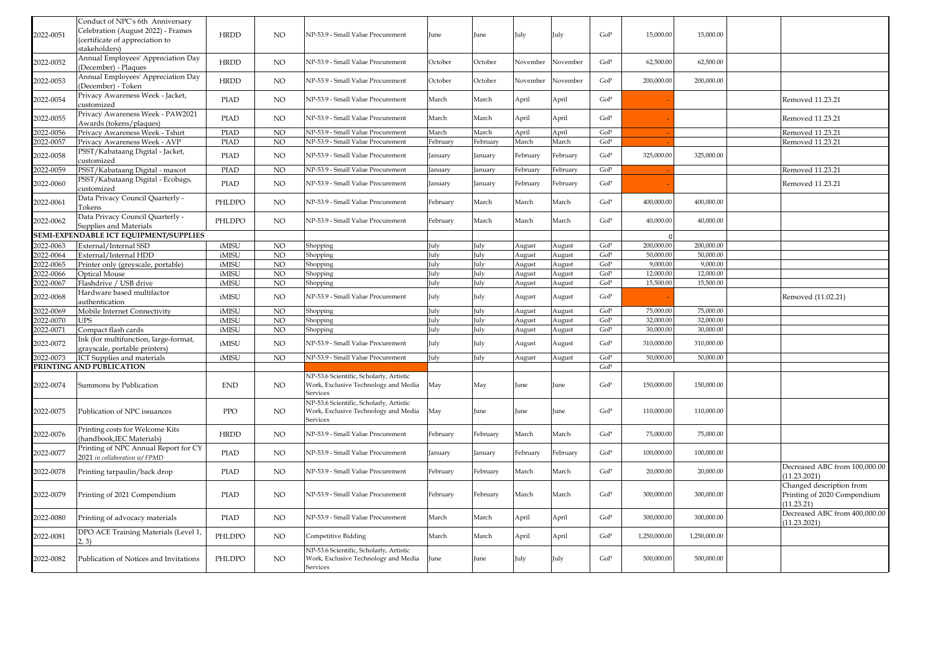| 2022-0051 | Conduct of NPC's 6th Anniversary<br>Celebration (August 2022) - Frames<br>(certificate of appreciation to<br>stakeholders) | <b>HRDD</b> | <b>NO</b>       | NP-53.9 - Small Value Procurement                                                           | June     | June     | July          | July          | GoP       | 15,000.00    | 15,000.00    |                                                                       |
|-----------|----------------------------------------------------------------------------------------------------------------------------|-------------|-----------------|---------------------------------------------------------------------------------------------|----------|----------|---------------|---------------|-----------|--------------|--------------|-----------------------------------------------------------------------|
| 2022-0052 | Annual Employees' Appreciation Day<br>(December) - Plaques                                                                 | <b>HRDD</b> | NO              | NP-53.9 - Small Value Procurement                                                           | October  | October  | Vovember      | Vovember      | GoP       | 62,500.00    | 62,500.00    |                                                                       |
| 2022-0053 | Annual Employees' Appreciation Day<br>(December) - Token                                                                   | <b>HRDD</b> | NO              | NP-53.9 - Small Value Procurement                                                           | October  | October  | November      | November      | $\rm GoP$ | 200,000.00   | 200,000.00   |                                                                       |
| 2022-0054 | Privacy Awareness Week - Jacket,<br>customized                                                                             | <b>PIAD</b> | NO              | NP-53.9 - Small Value Procurement                                                           | March    | March    | April         | April         | GoP       |              |              | Removed 11.23.21                                                      |
| 2022-0055 | Privacy Awareness Week - PAW2021<br>Awards (tokens/plaques)                                                                | <b>PIAD</b> | $_{\rm NO}$     | NP-53.9 - Small Value Procurement                                                           | March    | March    | April         | April         | $\rm GoP$ |              |              | Removed 11.23.21                                                      |
| 2022-0056 | Privacy Awareness Week - Tshirt                                                                                            | PIAD        | NO              | NP-53.9 - Small Value Procurement                                                           | March    | March    | April         | April         | GoP       |              |              | Removed 11.23.21                                                      |
| 2022-0057 | Privacy Awareness Week - AVP                                                                                               | PIAD        | $_{\rm NO}$     | NP-53.9 - Small Value Procurement                                                           | February | February | March         | March         | GoP       |              |              | Removed 11.23.21                                                      |
| 2022-0058 | PSST/Kabataang Digital - Jacket,<br>customized                                                                             | <b>PIAD</b> | $_{\rm NO}$     | NP-53.9 - Small Value Procurement                                                           | January  | anuary   | February      | February      | $\rm GoP$ | 325,000.00   | 325,000.00   |                                                                       |
| 2022-0059 | PSST/Kabataang Digital - mascot                                                                                            | <b>PIAD</b> | <b>NO</b>       | NP-53.9 - Small Value Procurement                                                           | January  | January  | February      | February      | GoP       |              |              | Removed 11.23.21                                                      |
| 2022-0060 | PSST/Kabataang Digital - Ecobags,<br>customized                                                                            | <b>PIAD</b> | NO              | NP-53.9 - Small Value Procurement                                                           | January  | January  | February      | February      | GoP       |              |              | Removed 11.23.21                                                      |
| 2022-0061 | Data Privacy Council Quarterly -<br>Tokens                                                                                 | PHLDPO      | NO              | NP-53.9 - Small Value Procurement                                                           | February | March    | March         | March         | GoP       | 400,000.00   | 400,000.00   |                                                                       |
| 2022-0062 | Data Privacy Council Quarterly -<br>Supplies and Materials                                                                 | PHLDPO      | NO              | NP-53.9 - Small Value Procurement                                                           | February | March    | March         | March         | GoP       | 40,000.00    | 40,000.00    |                                                                       |
|           | SEMI-EXPENDABLE ICT EQUIPMENT/SUPPLIES                                                                                     |             |                 |                                                                                             |          |          |               |               |           | $\Omega$     |              |                                                                       |
| 2022-0063 | External/Internal SSD                                                                                                      | iMISU       | NO.             | Shopping                                                                                    | July     | July     | August        | August        | GoP       | 200.000.00   | 200,000,00   |                                                                       |
| 2022-0064 | External/Internal HDD                                                                                                      | iMISU       | $_{\rm NO}$     | Shopping                                                                                    | July     | July     | <b>August</b> | <b>August</b> | GoP       | 50,000.00    | 50,000.00    |                                                                       |
| 2022-0065 | Printer only (greyscale, portable)                                                                                         | iMISU       | $\overline{NO}$ | Shopping                                                                                    | July     | July     | <b>August</b> | <b>August</b> | GoP       | 9,000.00     | 9.000.00     |                                                                       |
| 2022-0066 | Optical Mouse                                                                                                              | iMISU       | $_{\rm NO}$     | Shopping                                                                                    | July     | July     | <b>August</b> | <b>August</b> | GoP       | 12,000.00    | 12,000.00    |                                                                       |
| 2022-0067 | Flashdrive / USB drive                                                                                                     | iMISU       | NO              | Shopping                                                                                    | July     | July     | <b>August</b> | August        | GoP       | 15,500.00    | 15.500.00    |                                                                       |
| 2022-0068 | Hardware based multifactor<br>authentication                                                                               | iMISU       | NO              | NP-53.9 - Small Value Procurement                                                           | July     | July     | August        | August        | GoP       |              |              | Removed (11.02.21)                                                    |
| 2022-0069 | Mobile Internet Connectivity                                                                                               | iMISU       | $_{\rm NO}$     | Shopping                                                                                    | July     | July     | August        | August        | GoP       | 75,000.00    | 75,000.00    |                                                                       |
| 2022-0070 | UPS                                                                                                                        | iMISU       | NO              | Shopping                                                                                    | July     | July     | <b>August</b> | <b>August</b> | GoP       | 32,000.00    | 32,000.00    |                                                                       |
| 2022-0071 | Compact flash cards                                                                                                        | iMISU       | NO              | Shopping                                                                                    | July     | July     | <b>August</b> | August        | $\rm GoP$ | 30,000.00    | 30,000,00    |                                                                       |
| 2022-0072 | Ink (for multifunction, large-format,<br>grayscale, portable printers)                                                     | iMISU       | <b>NO</b>       | NP-53.9 - Small Value Procurement                                                           | July     | July     | August        | August        | GoP       | 310,000.00   | 310,000.00   |                                                                       |
| 2022-0073 | ICT Supplies and materials                                                                                                 | iMISU       | $_{\rm NO}$     | NP-53.9 - Small Value Procurement                                                           | July     | July     | August        | August        | GoP       | 50,000.00    | 50,000.00    |                                                                       |
|           | PRINTING AND PUBLICATION                                                                                                   |             |                 |                                                                                             |          |          |               |               | GoP       |              |              |                                                                       |
| 2022-0074 | Summons by Publication                                                                                                     | <b>END</b>  | <b>NO</b>       | NP-53.6 Scientific, Scholarly, Artistic<br>Work, Exclusive Technology and Media<br>Services | May      | May      | June          | June          | GoP       | 150,000.00   | 150,000.00   |                                                                       |
| 2022-0075 | Publication of NPC issuances                                                                                               | PPO         | <b>NO</b>       | NP-53.6 Scientific, Scholarly, Artistic<br>Work, Exclusive Technology and Media<br>Services | May      | June     | June          | June          | GoP       | 110,000.00   | 110,000.00   |                                                                       |
| 2022-0076 | Printing costs for Welcome Kits<br>(handbook, IEC Materials)                                                               | <b>HRDD</b> | <b>NO</b>       | NP-53.9 - Small Value Procurement                                                           | February | February | March         | March         | GoP       | 75,000.00    | 75,000.00    |                                                                       |
| 2022-0077 | Printing of NPC Annual Report for CY<br>2021 in collaboration w/FPMD                                                       | PIAD        | $_{\rm NO}$     | NP-53.9 - Small Value Procurement                                                           | January  | January  | ebruary       | February      | GoP       | 100,000.00   | 100,000.00   |                                                                       |
| 2022-0078 | Printing tarpaulin/back drop                                                                                               | <b>PIAD</b> | NO              | NP-53.9 - Small Value Procurement                                                           | February | February | March         | March         | GoP       | 20,000.00    | 20,000.00    | Decreased ABC from 100,000.00<br>(11.23.2021)                         |
| 2022-0079 | Printing of 2021 Compendium                                                                                                | <b>PIAD</b> | <b>NO</b>       | NP-53.9 - Small Value Procurement                                                           | February | February | March         | March         | GoP       | 300,000.00   | 300,000.00   | Changed description from<br>Printing of 2020 Compendium<br>(11.23.21) |
| 2022-0080 | Printing of advocacy materials                                                                                             | <b>PIAD</b> | <b>NO</b>       | NP-53.9 - Small Value Procurement                                                           | March    | March    | April         | April         | GoP       | 300,000.00   | 300,000.00   | Decreased ABC from 400,000.00<br>(11.23.2021)                         |
| 2022-0081 | DPO ACE Training Materials (Level 1,<br>2.3)                                                                               | PHLDPO      | <b>NO</b>       | Competitive Bidding                                                                         | March    | March    | April         | April         | GoP       | 1,250,000.00 | 1,250,000.00 |                                                                       |
| 2022-0082 | Publication of Notices and Invitations                                                                                     | PHLDPO      | <b>NO</b>       | NP-53.6 Scientific, Scholarly, Artistic<br>Work, Exclusive Technology and Media<br>Services | June     | June     | July          | July          | GoP       | 500,000.00   | 500,000.00   |                                                                       |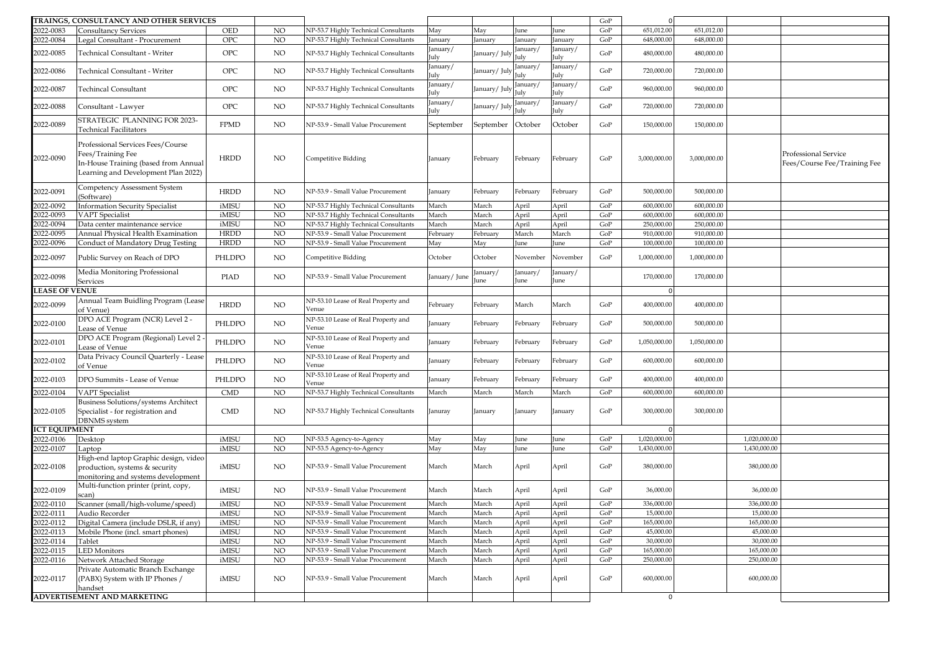|                       | TRAINGS, CONSULTANCY AND OTHER SERVICES                                                                                               |             |             |                                              |                |                |                  |                      | GoP |              |              |              |                                                      |
|-----------------------|---------------------------------------------------------------------------------------------------------------------------------------|-------------|-------------|----------------------------------------------|----------------|----------------|------------------|----------------------|-----|--------------|--------------|--------------|------------------------------------------------------|
| 2022-0083             | <b>Consultancy Services</b>                                                                                                           | OED         | NO          | NP-53.7 Highly Technical Consultants         | May            | May            | une              | une                  | GoP | 651,012.00   | 651,012.00   |              |                                                      |
| 2022-0084             | Legal Consultant - Procurement                                                                                                        | OPC         | NO          | NP-53.7 Highly Technical Consultants         | anuary         | anuary         | anuary           | anuary               | GoP | 648,000.00   | 648,000.00   |              |                                                      |
| 2022-0085             | Technical Consultant - Writer                                                                                                         | OPC         | NO          | NP-53.7 Highly Technical Consultants         | anuary/<br>uly | anuary/Jul     | anuary/<br>uly   | anuary/<br>uly       | GoP | 480,000.00   | 480,000.00   |              |                                                      |
| 2022-0086             | Technical Consultant - Writer                                                                                                         | <b>OPC</b>  | NO          | NP-53.7 Highly Technical Consultants         | anuary/<br>uly | anuary/July    | January/<br>uly  | anuary/<br>uly       | GoP | 720,000.00   | 720,000.00   |              |                                                      |
| 2022-0087             | <b>Techincal Consultant</b>                                                                                                           | <b>OPC</b>  | NO          | NP-53.7 Highly Technical Consultants         | anuary/<br>uly | anuary/July    | January/<br>ulv  | anuary/<br>ulv       | GoP | 960,000.00   | 960,000.00   |              |                                                      |
| 2022-0088             | Consultant - Lawyer                                                                                                                   | <b>OPC</b>  | NO          | NP-53.7 Highly Technical Consultants         | anuary/<br>uly | January/July   | January/<br>July | anuary/<br>uly       | GoP | 720,000.00   | 720,000.00   |              |                                                      |
| 2022-0089             | STRATEGIC PLANNING FOR 2023-<br><b>Technical Facilitators</b>                                                                         | <b>FPMD</b> | NO          | NP-53.9 - Small Value Procurement            | September      | September      | October          | October              | GoP | 150,000.00   | 150,000.00   |              |                                                      |
| 2022-0090             | Professional Services Fees/Course<br>Fees/Training Fee<br>In-House Training (based from Annual<br>Learning and Development Plan 2022) | HRDD        | NO.         | Competitive Bidding                          | January        | February       | February         | ebruary              | GoP | 3,000,000.00 | 3,000,000.00 |              | Professional Service<br>Fees/Course Fee/Training Fee |
| 2022-0091             | Competency Assessment System<br>(Software)                                                                                            | <b>HRDD</b> | NO          | NP-53.9 - Small Value Procurement            | anuary         | February       | February         | ebruary <sup>.</sup> | GoP | 500,000.00   | 500,000.00   |              |                                                      |
| 2022-0092             | <b>Information Security Specialist</b>                                                                                                | iMISU       | NO          | NP-53.7 Highly Technical Consultants         | March          | March          | April            | <b>April</b>         | GoP | 600,000.00   | 600,000.00   |              |                                                      |
| 2022-0093             | <b>VAPT</b> Specialist                                                                                                                | iMISU       | NO          | NP-53.7 Highly Technical Consultants         | March          | March          | April            | <b>April</b>         | GoP | 600,000.00   | 600,000.00   |              |                                                      |
| 2022-0094             | Data center maintenance service                                                                                                       | iMISU       | NO          | NP-53.7 Highly Technical Consultants         | March          | March          | April            | <b>\pril</b>         | GoP | 250,000.00   | 250,000.0    |              |                                                      |
| 2022-0095             | Annual Physical Health Examination                                                                                                    | <b>HRDD</b> | NO          | NP-53.9 - Small Value Procurement            | February       | ebruary        | March            | March                | GoP | 910,000.00   | 910,000.0    |              |                                                      |
| 2022-0096             | Conduct of Mandatory Drug Testing                                                                                                     | <b>HRDD</b> | NO          | NP-53.9 - Small Value Procurement            | May            | May            | June             | une                  | GoP | 100,000.00   | 100,000.00   |              |                                                      |
| 2022-0097             | Public Survey on Reach of DPO                                                                                                         | PHLDPO      | NO          | Competitive Bidding                          | October        | October        | November         | November             | GoP | 1,000,000.00 | 1,000,000.00 |              |                                                      |
| 2022-0098             | Media Monitoring Professional<br>Services                                                                                             | <b>PIAD</b> | NO          | NP-53.9 - Small Value Procurement            | January/June   | anuary/<br>une | January/<br>une  | anuary/<br>une       |     | 170,000.00   | 170,000.00   |              |                                                      |
| <b>LEASE OF VENUE</b> |                                                                                                                                       |             |             |                                              |                |                |                  |                      |     | $\Omega$     |              |              |                                                      |
| 2022-0099             | Annual Team Buidling Program (Lease<br>of Venue)                                                                                      | <b>HRDD</b> | NO          | NP-53.10 Lease of Real Property and<br>Venue | February       | February       | March            | March                | GoP | 400,000.00   | 400,000.00   |              |                                                      |
| 2022-0100             | DPO ACE Program (NCR) Level 2 -<br>Lease of Venue                                                                                     | PHLDPO      | NO          | NP-53.10 Lease of Real Property and<br>Venue | January        | ebruary        | February         | ebruary              | GoP | 500,000.00   | 500,000.00   |              |                                                      |
| 2022-0101             | DPO ACE Program (Regional) Level 2 -<br>Lease of Venue                                                                                | PHLDPO      | $_{\rm NO}$ | NP-53.10 Lease of Real Property and<br>Venue | anuary         | February       | February         | ebruary              | GoP | 1,050,000.00 | 1,050,000.00 |              |                                                      |
| 2022-0102             | Data Privacy Council Quarterly - Lease<br>of Venue                                                                                    | PHLDPO      | NO          | NP-53.10 Lease of Real Property and<br>Venue | anuary         | February       | February         | ebruary              | GoP | 600,000.00   | 600,000.00   |              |                                                      |
| 2022-0103             | DPO Summits - Lease of Venue                                                                                                          | PHLDPO      | $_{\rm NO}$ | NP-53.10 Lease of Real Property and<br>Venue | anuary)        | February       | February         | ebruary              | GoP | 400,000.00   | 400,000.00   |              |                                                      |
| 2022-0104             | <b>VAPT</b> Specialist                                                                                                                | <b>CMD</b>  | NO          | NP-53.7 Highly Technical Consultants         | March          | March          | March            | March                | GoP | 600,000.00   | 600,000.00   |              |                                                      |
| 2022-0105             | Business Solutions/systems Architect<br>Specialist - for registration and<br><b>DBNMS</b> system                                      | CMD         | NO          | NP-53.7 Highly Technical Consultants         | Januray        | January        | January          | anuary               | GoP | 300,000.00   | 300,000.00   |              |                                                      |
| <b>ICT EQUIPMENT</b>  |                                                                                                                                       |             |             |                                              |                |                |                  |                      |     | $\Omega$     |              |              |                                                      |
| 2022-0106             | Desktop                                                                                                                               | iMISU       | NO          | NP-53.5 Agency-to-Agency                     | May            | May            | June             | une                  | GoP | 1,020,000.00 |              | 1,020,000.00 |                                                      |
| 2022-0107             | Laptop                                                                                                                                | iMISU       | NO          | VP-53.5 Agency-to-Agency                     | May            | May            | June             | une                  | GoP | 1,430,000.00 |              | 1,430,000.00 |                                                      |
| 2022-0108             | High-end laptop Graphic design, video<br>production, systems & security<br>monitoring and systems development                         | iMISU       | NO          | NP-53.9 - Small Value Procurement            | March          | March          | April            | <b>April</b>         | GoP | 380,000.00   |              | 380,000.00   |                                                      |
| 2022-0109             | Multi-function printer (print, copy,<br>scan)                                                                                         | iMISU       | NO          | NP-53.9 - Small Value Procurement            | March          | March          | April            | <b>\pril</b>         | GoP | 36,000.00    |              | 36,000.00    |                                                      |
| 2022-0110             | Scanner (small/high-volume/speed)                                                                                                     | iMISU       | NO          | NP-53.9 - Small Value Procurement            | March          | March          | April            | <b>\pril</b>         | GoP | 336,000.00   |              | 336,000.00   |                                                      |
|                       | 2022-0111 Audio Recorder<br>2022-0112 Digital Camera (in                                                                              | iMISU       | NO          | NP-53.9 - Small Value Procurement            | March          | March          | April            | April                | GoP | 15,000.00    |              | 15,000.00    |                                                      |
|                       | Digital Camera (include DSLR, if any)                                                                                                 | iMISU       | NO          | NP-53.9 - Small Value Procurement            | March          | March          | April            | April                | GoP | 165,000.00   |              | 165,000.00   |                                                      |
| 2022-0113             | Mobile Phone (incl. smart phones)                                                                                                     | iMISU       | <b>NO</b>   | NP-53.9 - Small Value Procurement            | March          | March          | April            | April                | GoP | 45,000.00    |              | 45,000.00    |                                                      |
| 2022-0114             | Tablet                                                                                                                                | iMISU       | NO          | NP-53.9 - Small Value Procurement            | March          | March          | April            | April                | GoP | 30,000.00    |              | 30,000.00    |                                                      |
| 2022-0115             | <b>LED</b> Monitors                                                                                                                   | iMISU       | NO          | NP-53.9 - Small Value Procurement            | March          | March          | April            | April                | GoP | 165,000.00   |              | 165,000.00   |                                                      |
| 2022-0116             | Network Attached Storage                                                                                                              | iMISU       | NO          | NP-53.9 - Small Value Procurement            | March          | March          | April            | <b>April</b>         | GoP | 250,000.00   |              | 250,000.00   |                                                      |
| 2022-0117             | Private Automatic Branch Exchange<br>(PABX) System with IP Phones /<br>handset                                                        | iMISU       | NO.         | NP-53.9 - Small Value Procurement            | March          | March          | April            | April                | GoP | 600,000.00   |              | 600,000.00   |                                                      |
|                       | <b>ADVERTISEMENT AND MARKETING</b>                                                                                                    |             |             |                                              |                |                |                  |                      |     | $\mathbf 0$  |              |              |                                                      |
|                       |                                                                                                                                       |             |             |                                              |                |                |                  |                      |     |              |              |              |                                                      |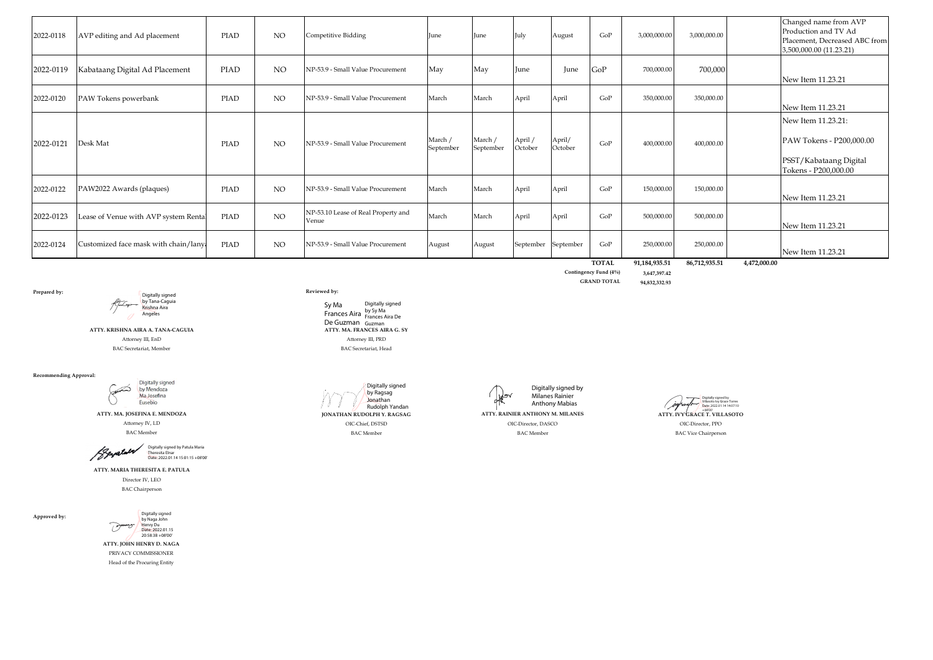| 2022-0118 | AVP editing and Ad placement         | PIAD        | <b>NO</b> | Competitive Bidding                          | June                 | June                 | July                | August            | GoP                 | 3.000.000.00                | 3,000,000.00                |              | Changed name from AVP<br>Production and TV Ad<br>Placement, Decreased ABC from<br>3,500,000.00 (11.23.21) |
|-----------|--------------------------------------|-------------|-----------|----------------------------------------------|----------------------|----------------------|---------------------|-------------------|---------------------|-----------------------------|-----------------------------|--------------|-----------------------------------------------------------------------------------------------------------|
| 2022-0119 | Kabataang Digital Ad Placement       | <b>PIAD</b> | NO        | NP-53.9 - Small Value Procurement            | May                  | May                  | June                | June              | GoP                 | 700,000.00                  | 700,000                     |              | New Item 11.23.21                                                                                         |
| 2022-0120 | PAW Tokens powerbank                 | PIAD        | NO.       | NP-53.9 - Small Value Procurement            | March                | March                | April               | April             | GoP                 | 350,000,00                  | 350,000.00                  |              | New Item 11.23.21                                                                                         |
| 2022-0121 | Desk Mat                             | PIAD        | <b>NO</b> | NP-53.9 - Small Value Procurement            | March /<br>September | March /<br>September | April /<br>October  | April/<br>October | GoP                 | 400.000.00                  | 400.000.00                  |              | New Item 11.23.21:<br>PAW Tokens - P200,000.00<br>PSST/Kabataang Digital<br>Tokens - P200,000.00          |
| 2022-0122 | PAW2022 Awards (plaques)             | PIAD        | <b>NO</b> | NP-53.9 - Small Value Procurement            | March                | March                | April               | April             | GoP                 | 150,000,00                  | 150,000.00                  |              | New Item 11.23.21                                                                                         |
| 2022-0123 | Lease of Venue with AVP system Renta | <b>PIAD</b> | NO.       | NP-53.10 Lease of Real Property and<br>Venue | March                | March                | April               | April             | GoP                 | 500,000.00                  | 500,000.00                  |              | New Item 11.23.21                                                                                         |
| 2022-0124 | Customized face mask with chain/lany | <b>PIAD</b> | NO.       | NP-53.9 - Small Value Procurement            | August               | August               | September September |                   | GoP<br><b>TOTAL</b> | 250,000.00<br>91.184.935.51 | 250,000.00<br>86.712.935.51 | 4.472.000.00 | New Item 11.23.21                                                                                         |

**Prepared by: Reviewed by:** Digitally signed by Tana-Caguia<br><mark>Kris</mark>hna Aira Angeles

> **ATTY. KRISHNA AIRA A. TANA-CAGUIA ATTY. MA. FRANCES AIRA G. SY** Attorney III, EnD Attorney III, PRD BAC Secretariat, Member BAC Secretariat, Head

**Recommending Approval:**

Digitally signed<br>by Mendoza Gunt Ma Josefina Eusebio



**ATTY. MARIA THERESITA E. PATULA** Director IV, LEO

BAC Chairperson

**Approved by:**



**ATTY. JOHN HENRY D. NAGA** PRIVACY COMMISSIONER Head of the Procuring Entity

Sy Ma Frances Aira by Sy Ma<br>Trances Aira Frances Aira De De Guzman Guzman Digitally signed





**Contingency Fund (4%) 3,647,397.42 GRAND TOTAL 94,832,332.93**

Digitally signed by Villasoto Ivy Grace Torres Date: 2022.01.14 14:07:10 (jufraufr-ATTY. IVY GRACE T. VILLASOTO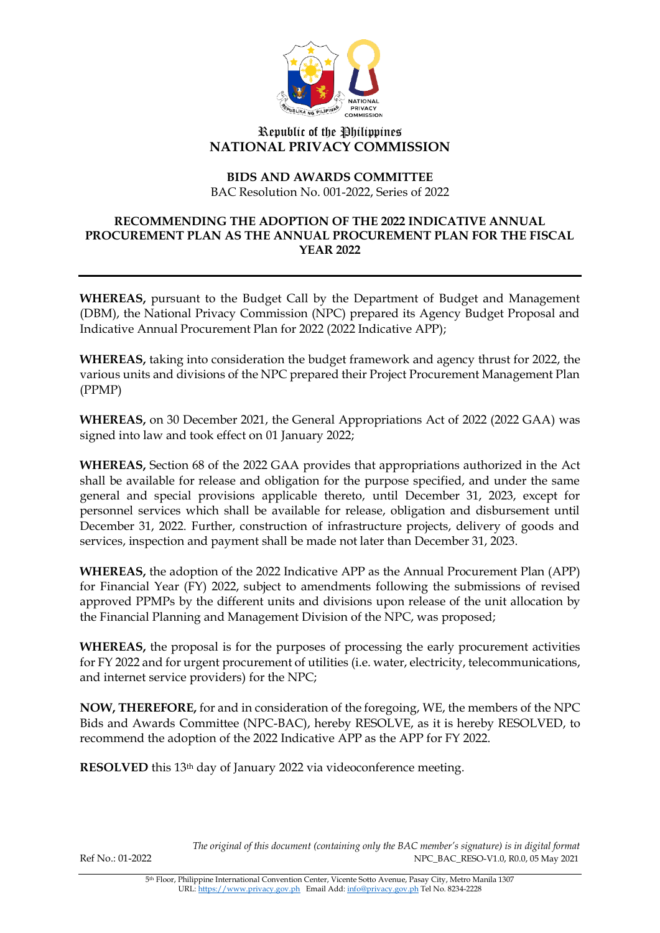

## Republic of the Philippines **NATIONAL PRIVACY COMMISSION**

# **BIDS AND AWARDS COMMITTEE**

BAC Resolution No. 001-2022, Series of 2022

### **RECOMMENDING THE ADOPTION OF THE 2022 INDICATIVE ANNUAL PROCUREMENT PLAN AS THE ANNUAL PROCUREMENT PLAN FOR THE FISCAL YEAR 2022**

**WHEREAS,** pursuant to the Budget Call by the Department of Budget and Management (DBM), the National Privacy Commission (NPC) prepared its Agency Budget Proposal and Indicative Annual Procurement Plan for 2022 (2022 Indicative APP);

**WHEREAS,** taking into consideration the budget framework and agency thrust for 2022, the various units and divisions of the NPC prepared their Project Procurement Management Plan (PPMP)

**WHEREAS,** on 30 December 2021, the General Appropriations Act of 2022 (2022 GAA) was signed into law and took effect on 01 January 2022;

**WHEREAS,** Section 68 of the 2022 GAA provides that appropriations authorized in the Act shall be available for release and obligation for the purpose specified, and under the same general and special provisions applicable thereto, until December 31, 2023, except for personnel services which shall be available for release, obligation and disbursement until December 31, 2022. Further, construction of infrastructure projects, delivery of goods and services, inspection and payment shall be made not later than December 31, 2023.

**WHEREAS,** the adoption of the 2022 Indicative APP as the Annual Procurement Plan (APP) for Financial Year (FY) 2022, subject to amendments following the submissions of revised approved PPMPs by the different units and divisions upon release of the unit allocation by the Financial Planning and Management Division of the NPC, was proposed;

**WHEREAS,** the proposal is for the purposes of processing the early procurement activities for FY 2022 and for urgent procurement of utilities (i.e. water, electricity, telecommunications, and internet service providers) for the NPC;

**NOW, THEREFORE,** for and in consideration of the foregoing, WE, the members of the NPC Bids and Awards Committee (NPC-BAC), hereby RESOLVE, as it is hereby RESOLVED, to recommend the adoption of the 2022 Indicative APP as the APP for FY 2022.

**RESOLVED** this 13<sup>th</sup> day of January 2022 via videoconference meeting.